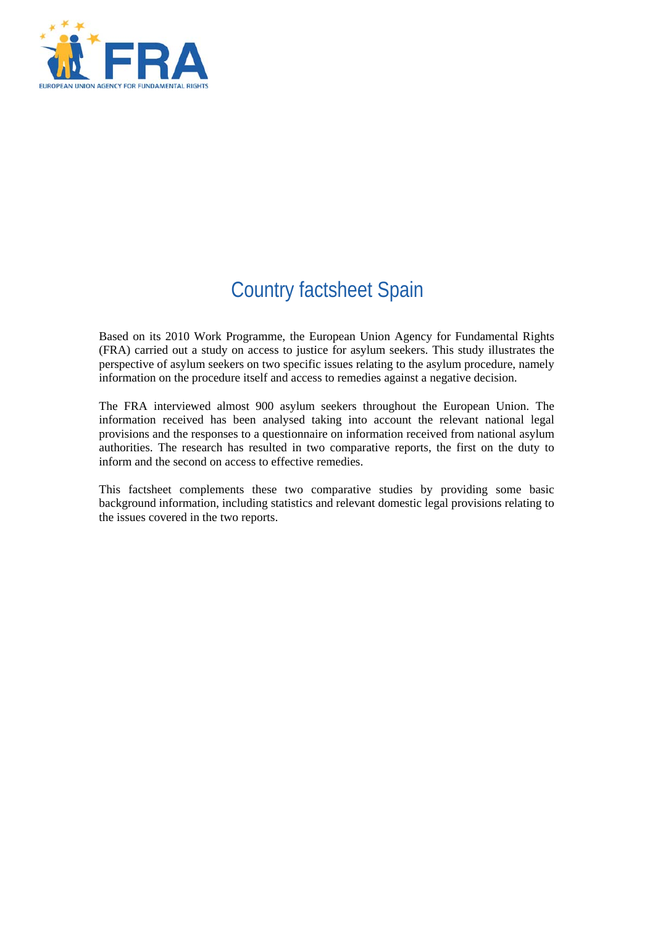

# Country factsheet Spain

Based on its 2010 Work Programme, the European Union Agency for Fundamental Rights (FRA) carried out a study on access to justice for asylum seekers. This study illustrates the perspective of asylum seekers on two specific issues relating to the asylum procedure, namely information on the procedure itself and access to remedies against a negative decision.

The FRA interviewed almost 900 asylum seekers throughout the European Union. The information received has been analysed taking into account the relevant national legal provisions and the responses to a questionnaire on information received from national asylum authorities. The research has resulted in two comparative reports, the first on the duty to inform and the second on access to effective remedies.

This factsheet complements these two comparative studies by providing some basic background information, including statistics and relevant domestic legal provisions relating to the issues covered in the two reports.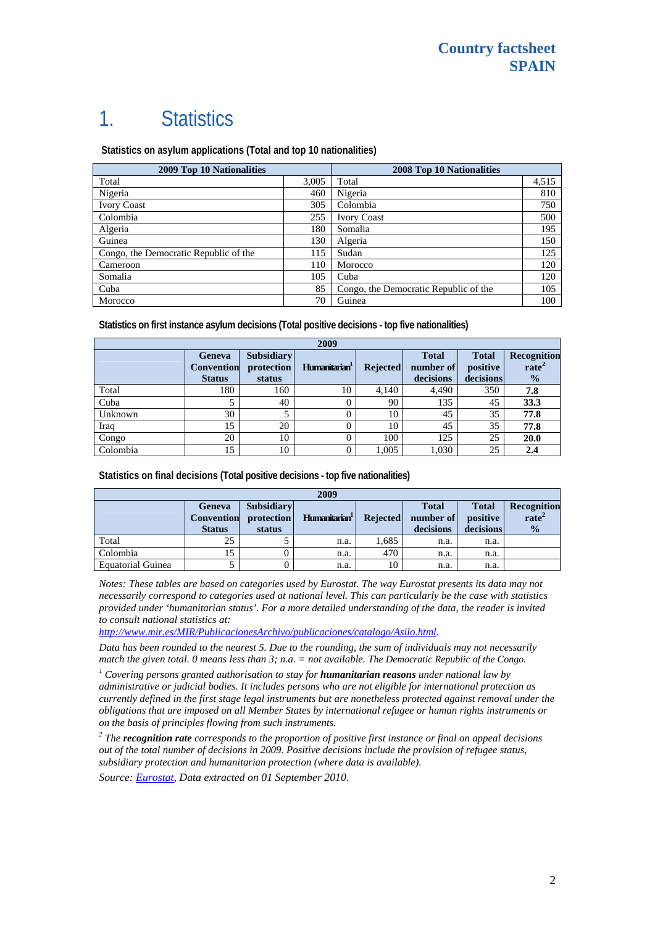# 1. Statistics

 **Statistics on asylum applications (Total and top 10 nationalities)**

| <b>2009 Top 10 Nationalities</b>      | <b>2008 Top 10 Nationalities</b> |                                       |       |
|---------------------------------------|----------------------------------|---------------------------------------|-------|
| Total                                 | 3,005                            | Total                                 | 4,515 |
| Nigeria                               | 460                              | Nigeria                               | 810   |
| <b>Ivory Coast</b>                    | 305                              | Colombia                              | 750   |
| Colombia                              | 255                              | <b>Ivory Coast</b>                    | 500   |
| Algeria                               | 180                              | Somalia                               | 195   |
| Guinea                                | 130                              | Algeria                               | 150   |
| Congo, the Democratic Republic of the | 115                              | Sudan                                 | 125   |
| Cameroon                              | 110                              | Morocco                               | 120   |
| Somalia                               | 105                              | Cuba                                  | 120   |
| Cuba                                  | 85                               | Congo, the Democratic Republic of the | 105   |
| Morocco                               | 70                               | Guinea                                | 100   |

**Statistics on first instance asylum decisions (Total positive decisions - top five nationalities)** 

| 2009     |                                                     |                                           |                           |                 |                                        |                                       |                                                   |
|----------|-----------------------------------------------------|-------------------------------------------|---------------------------|-----------------|----------------------------------------|---------------------------------------|---------------------------------------------------|
|          | <b>Geneva</b><br><b>Convention</b><br><b>Status</b> | <b>Subsidiary</b><br>protection<br>status | Humanitarian <sup>1</sup> | <b>Rejected</b> | <b>Total</b><br>number of<br>decisions | <b>Total</b><br>positive<br>decisions | Recognition<br>rate <sup>2</sup><br>$\frac{1}{2}$ |
| Total    | 180                                                 | 160                                       | 10                        | 4.140           | 4,490                                  | 350                                   | 7.8                                               |
| Cuba     |                                                     | 40                                        |                           | 90              | 135                                    | 45                                    | 33.3                                              |
| Unknown  | 30                                                  |                                           |                           | 10              | 45                                     | 35                                    | 77.8                                              |
| Iraq     | 15                                                  | 20                                        |                           | 10              | 45                                     | 35                                    | 77.8                                              |
| Congo    | 20                                                  | 10                                        |                           | 100             | 125                                    | 25                                    | 20.0                                              |
| Colombia | 15                                                  | 10                                        |                           | 1,005           | 1,030                                  | 25                                    | 2.4                                               |

**Statistics on final decisions (Total positive decisions - top five nationalities)** 

| 2009              |                                              |                                           |                           |                 |                                        |                                       |                                                          |
|-------------------|----------------------------------------------|-------------------------------------------|---------------------------|-----------------|----------------------------------------|---------------------------------------|----------------------------------------------------------|
|                   | Geneva<br><b>Convention</b><br><b>Status</b> | <b>Subsidiary</b><br>protection<br>status | Humanitarian <sup>1</sup> | <b>Rejected</b> | <b>Total</b><br>number of<br>decisions | <b>Total</b><br>positive<br>decisions | <b>Recognition</b><br>rate <sup>2</sup><br>$\frac{0}{0}$ |
| Total             | 25                                           |                                           | n.a.                      | 1,685           | n.a.                                   | n.a.                                  |                                                          |
| Colombia          | 15                                           |                                           | n.a.                      | 470             | n.a.                                   | n.a.                                  |                                                          |
| Equatorial Guinea |                                              |                                           | n.a.                      | 10              | n.a.                                   | n.a.                                  |                                                          |

*Notes: These tables are based on categories used by Eurostat. The way Eurostat presents its data may not necessarily correspond to categories used at national level. This can particularly be the case with statistics provided under 'humanitarian status'. For a more detailed understanding of the data, the reader is invited to consult national statistics at:* 

*[http://www.mir.es/MIR/PublicacionesArchivo/publicaciones/catalogo/Asilo.html.](http://www.mir.es/MIR/PublicacionesArchivo/publicaciones/catalogo/Asilo.html)* 

*Data has been rounded to the nearest 5. Due to the rounding, the sum of individuals may not necessarily match the given total. 0 means less than 3; n.a. = not available. The Democratic Republic of the Congo.* 

<sup>1</sup> Covering persons granted authorisation to stay for **humanitarian reasons** under national law by *administrative or judicial bodies. It includes persons who are not eligible for international protection as currently defined in the first stage legal instruments but are nonetheless protected against removal under the obligations that are imposed on all Member States by international refugee or human rights instruments or on the basis of principles flowing from such instruments.* 

*2 The recognition rate corresponds to the proportion of positive first instance or final on appeal decisions out of the total number of decisions in 2009. Positive decisions include the provision of refugee status, subsidiary protection and humanitarian protection (where data is available).* 

*Source: [Eurostat](http://epp.eurostat.ec.europa.eu/), Data extracted on 01 September 2010.*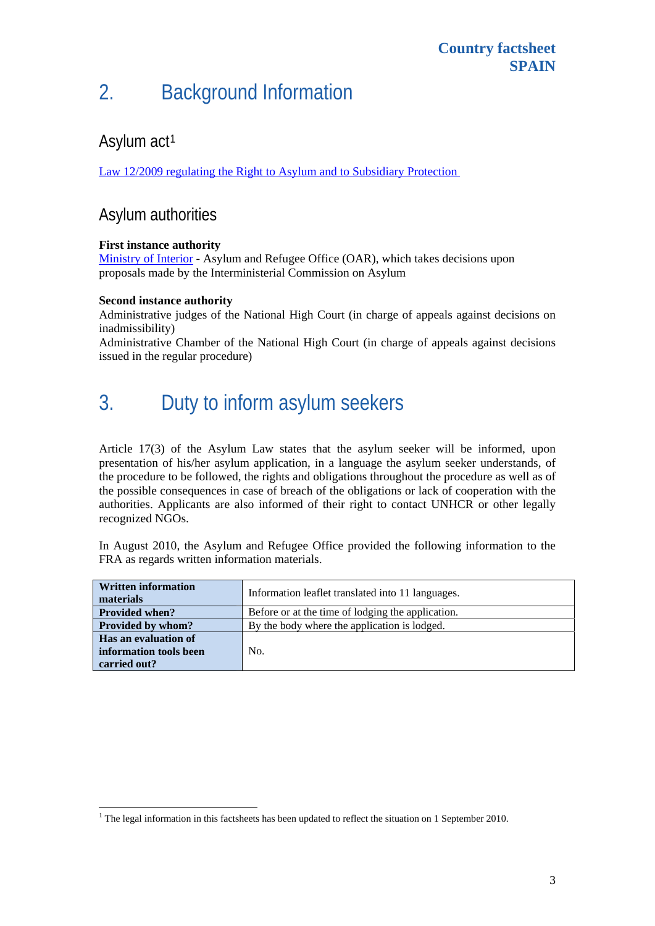# 2. Background Information

### Asylum act<sup>[1](#page-2-0)</sup>

[Law 12/2009 regulating the Right to Asylum and to Subsidiary Protection](http://www.mir.es/SGACAVT/derecho/le/le12_2009.html) 

### Asylum authorities

#### **First instance authority**

[Ministry of Interior](http://www.mir.es/SGACAVT/extranje/asilo_refugio/) - Asylum and Refugee Office (OAR), which takes decisions upon proposals made by the Interministerial Commission on Asylum

#### **Second instance authority**

1

Administrative judges of the National High Court (in charge of appeals against decisions on inadmissibility)

Administrative Chamber of the National High Court (in charge of appeals against decisions issued in the regular procedure)

# 3. Duty to inform asylum seekers

Article 17(3) of the Asylum Law states that the asylum seeker will be informed, upon presentation of his/her asylum application, in a language the asylum seeker understands, of the procedure to be followed, the rights and obligations throughout the procedure as well as of the possible consequences in case of breach of the obligations or lack of cooperation with the authorities. Applicants are also informed of their right to contact UNHCR or other legally recognized NGOs.

In August 2010, the Asylum and Refugee Office provided the following information to the FRA as regards written information materials.

| <b>Written information</b><br>materials | Information leaflet translated into 11 languages. |  |  |  |
|-----------------------------------------|---------------------------------------------------|--|--|--|
| <b>Provided when?</b>                   | Before or at the time of lodging the application. |  |  |  |
| <b>Provided by whom?</b>                | By the body where the application is lodged.      |  |  |  |
| Has an evaluation of                    |                                                   |  |  |  |
| information tools been                  | No.                                               |  |  |  |
| carried out?                            |                                                   |  |  |  |

<span id="page-2-0"></span> $1$ <sup>1</sup> The legal information in this factsheets has been updated to reflect the situation on 1 September 2010.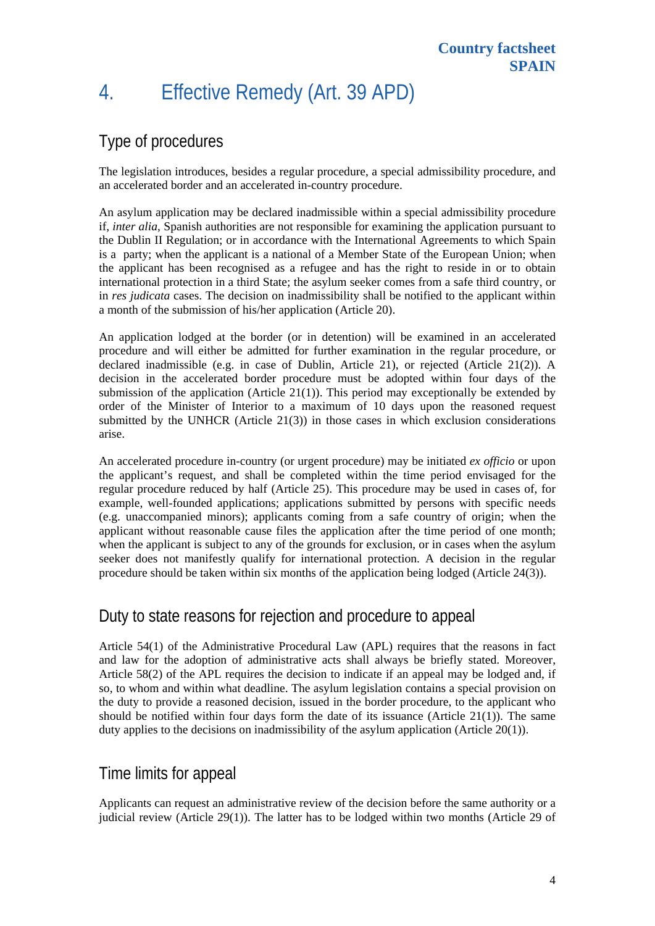# 4. Effective Remedy (Art. 39 APD)

### Type of procedures

The legislation introduces, besides a regular procedure, a special admissibility procedure, and an accelerated border and an accelerated in-country procedure.

An asylum application may be declared inadmissible within a special admissibility procedure if, *inter alia*, Spanish authorities are not responsible for examining the application pursuant to the Dublin II Regulation; or in accordance with the International Agreements to which Spain is a party; when the applicant is a national of a Member State of the European Union; when the applicant has been recognised as a refugee and has the right to reside in or to obtain international protection in a third State; the asylum seeker comes from a safe third country, or in *res judicata* cases. The decision on inadmissibility shall be notified to the applicant within a month of the submission of his/her application (Article 20).

An application lodged at the border (or in detention) will be examined in an accelerated procedure and will either be admitted for further examination in the regular procedure, or declared inadmissible (e.g. in case of Dublin, Article 21), or rejected (Article 21(2)). A decision in the accelerated border procedure must be adopted within four days of the submission of the application (Article  $21(1)$ ). This period may exceptionally be extended by order of the Minister of Interior to a maximum of 10 days upon the reasoned request submitted by the UNHCR (Article  $21(3)$ ) in those cases in which exclusion considerations arise.

An accelerated procedure in-country (or urgent procedure) may be initiated *ex officio* or upon the applicant's request, and shall be completed within the time period envisaged for the regular procedure reduced by half (Article 25). This procedure may be used in cases of, for example, well-founded applications; applications submitted by persons with specific needs (e.g. unaccompanied minors); applicants coming from a safe country of origin; when the applicant without reasonable cause files the application after the time period of one month; when the applicant is subject to any of the grounds for exclusion, or in cases when the asylum seeker does not manifestly qualify for international protection. A decision in the regular procedure should be taken within six months of the application being lodged (Article 24(3)).

### Duty to state reasons for rejection and procedure to appeal

Article 54(1) of the Administrative Procedural Law (APL) requires that the reasons in fact and law for the adoption of administrative acts shall always be briefly stated. Moreover, Article 58(2) of the APL requires the decision to indicate if an appeal may be lodged and, if so, to whom and within what deadline. The asylum legislation contains a special provision on the duty to provide a reasoned decision, issued in the border procedure, to the applicant who should be notified within four days form the date of its issuance (Article  $21(1)$ ). The same duty applies to the decisions on inadmissibility of the asylum application (Article 20(1)).

### Time limits for appeal

Applicants can request an administrative review of the decision before the same authority or a judicial review (Article 29(1)). The latter has to be lodged within two months (Article 29 of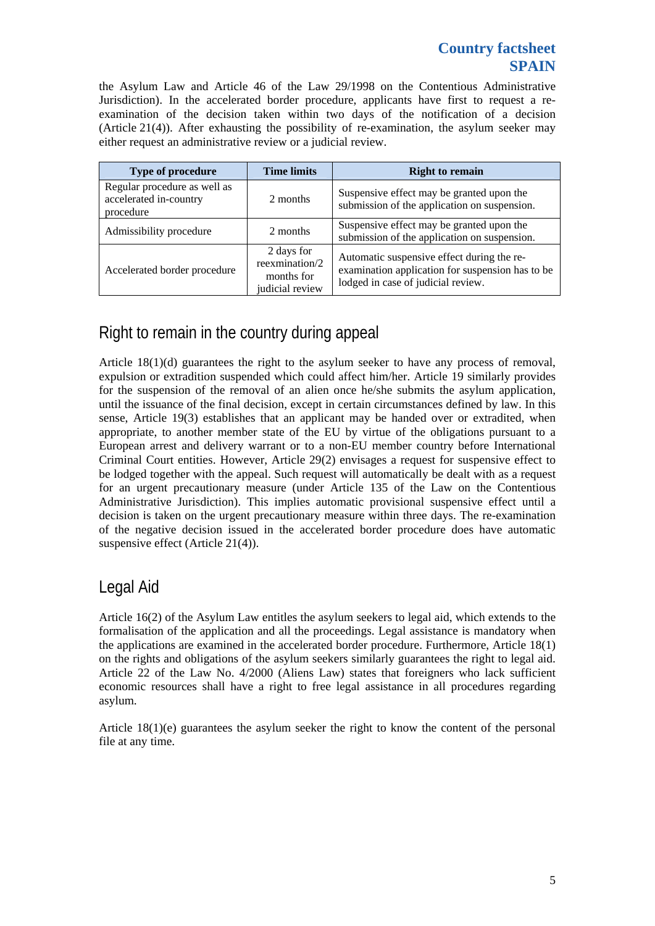#### **Country factsheet SPAIN**

the Asylum Law and Article 46 of the Law 29/1998 on the Contentious Administrative Jurisdiction). In the accelerated border procedure, applicants have first to request a reexamination of the decision taken within two days of the notification of a decision (Article 21(4)). After exhausting the possibility of re-examination, the asylum seeker may either request an administrative review or a judicial review.

| <b>Type of procedure</b>                                            | <b>Time limits</b>                                            | <b>Right to remain</b>                                                                                                               |  |  |
|---------------------------------------------------------------------|---------------------------------------------------------------|--------------------------------------------------------------------------------------------------------------------------------------|--|--|
| Regular procedure as well as<br>accelerated in-country<br>procedure | 2 months                                                      | Suspensive effect may be granted upon the<br>submission of the application on suspension.                                            |  |  |
| Admissibility procedure                                             | 2 months                                                      | Suspensive effect may be granted upon the<br>submission of the application on suspension.                                            |  |  |
| Accelerated border procedure                                        | 2 days for<br>reexmination/2<br>months for<br>judicial review | Automatic suspensive effect during the re-<br>examination application for suspension has to be<br>lodged in case of judicial review. |  |  |

## Right to remain in the country during appeal

Article 18(1)(d) guarantees the right to the asylum seeker to have any process of removal, expulsion or extradition suspended which could affect him/her. Article 19 similarly provides for the suspension of the removal of an alien once he/she submits the asylum application, until the issuance of the final decision, except in certain circumstances defined by law. In this sense, Article 19(3) establishes that an applicant may be handed over or extradited, when appropriate, to another member state of the EU by virtue of the obligations pursuant to a European arrest and delivery warrant or to a non-EU member country before International Criminal Court entities. However, Article 29(2) envisages a request for suspensive effect to be lodged together with the appeal. Such request will automatically be dealt with as a request for an urgent precautionary measure (under Article 135 of the Law on the Contentious Administrative Jurisdiction). This implies automatic provisional suspensive effect until a decision is taken on the urgent precautionary measure within three days. The re-examination of the negative decision issued in the accelerated border procedure does have automatic suspensive effect (Article 21(4)).

### Legal Aid

Article 16(2) of the Asylum Law entitles the asylum seekers to legal aid, which extends to the formalisation of the application and all the proceedings. Legal assistance is mandatory when the applications are examined in the accelerated border procedure. Furthermore, Article 18(1) on the rights and obligations of the asylum seekers similarly guarantees the right to legal aid. Article 22 of the Law No. 4/2000 (Aliens Law) states that foreigners who lack sufficient economic resources shall have a right to free legal assistance in all procedures regarding asylum.

Article 18(1)(e) guarantees the asylum seeker the right to know the content of the personal file at any time.